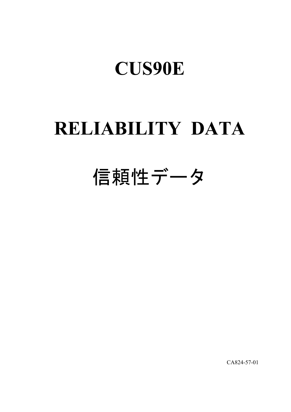# **RELIABILITY DATA**

# 信頼性データ

CA824-57-01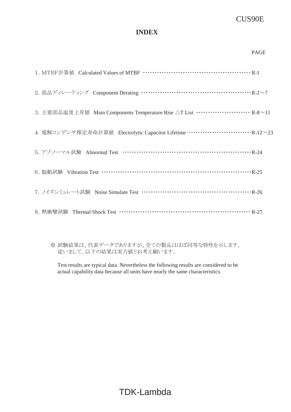### **INDEX**

|                                                                                        | <b>PAGE</b> |
|----------------------------------------------------------------------------------------|-------------|
|                                                                                        |             |
| 2. 部品ディレーティング Component Derating …………………………………………… R-2~7                               |             |
| 3. 主要部品温度上昇值 Main Components Temperature Rise △T List ························· R-8∼11 |             |
|                                                                                        |             |
| 5. アブノーマル試験 Abnormal Test …………………………………………………… R-24                                    |             |
| 6. 振動試験 Vibration Test …………………………………………………………… R-25                                    |             |
| 7. ノイズシミュレート試験 Noise Simulate Test ……………………………………………… R-26                             |             |
|                                                                                        |             |

※ 試験結果は、代表データでありますが、全ての製品はほぼ同等な特性を示します。 従いまして、以下の結果は実力値とお考え願います。

Test results are typical data. Nevertheless the following results are considered to be actual capability data because all units have nearly the same characteristics.

TDK-Lambda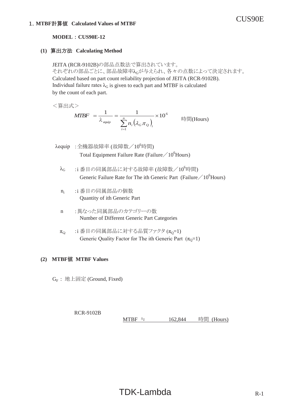#### **MODEL : CUS90E-12**

#### **(1)**䚷⟬ฟ᪉ἲ䚷**Calculating Method**

JEITA (RCR-9102B)の部品点数法で算出されています。 それぞれの部品ごとに、部品故障率んが与えられ、各々の点数によって決定されます。 Calculated based on part count reliability projection of JEITA (RCR-9102B). Individual failure rates  $\lambda_G$  is given to each part and MTBF is calculated by the count of each part.

<算出式>

$$
MTBF = \frac{1}{\lambda_{\text{equip}}} = \frac{1}{\sum_{i=1}^{n} n_i (\lambda_G \pi_Q)_i} \times 10^6
$$
 \n
$$
\text{Hil}(\text{Hours})
$$

- $\lambda$ equip :全機器故障率 (故障数/10 $^6$ 時間) Total Equipment Failure Rate (Failure / 10<sup>6</sup>Hours)
	- $\lambda_{\rm G}$  :i番目の同属部品に対する故障率 (故障数/10 $^6$ 時間) Generic Failure Rate for The ith Generic Part (Failure  $/10^6$  Hours)
	- n; : i 番目の同属部品の個数 Quantity of ith Generic Part
	- n :異なった同属部品のカテゴリーの数 Number of Different Generic Part Categories
	- $\pi_{\Omega}$  : i 番目の同属部品に対する品質ファクタ $(\pi_{0}=1)$ Generic Quality Factor for The ith Generic Part  $(\pi_0=1)$

#### **(2)**䚷 **MTBF**್ **MTBF Values**

 $G_F$ : 地上固定 (Ground, Fixed)

RCR-9102B MTBF  $\div$  162,844 時間 (Hours)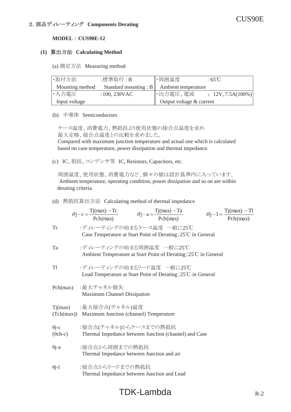#### **(1)**䚷⟬ฟ᪉ἲ䚷**Calculating Method**

(a) 測定方法 Measuring method

| ·取付方法           | :標準取付:B                 | ・周囲温度                    | :65 $\degree$ C      |
|-----------------|-------------------------|--------------------------|----------------------|
| Mounting method | Standard mounting : $B$ | Ambient temperature      |                      |
| ・入力電圧           | $:100,230$ VAC          | ・出力電圧、電流                 | $: 12V, 7.5A(100\%)$ |
| Input voltage   |                         | Output voltage & current |                      |

(b) 半導体 Semiconductors

ケース温度、消費電力、熱抵抗より使用状態の接合点温度を求め 最大定格、接合点温度との比較を求めました。 Compared with maximum junction temperature and actual one which is calculated based on case temperature, power dissipation and thermal impedance.

(c) IC、抵抗、コンデンサ等 IC, Resistors, Capacitors, etc.

周囲温度、使用状態、消費電力など、個々の値は設計基準内に入っています。 Ambient temperature, operating condition, power dissipation and so on are within derating criteria.

#### (d) 熱抵抗算出方法 Calculating method of thermal impedance

|                                 | $\theta j - c = \frac{Tj(max) - Tc}{Pch(max)}$ $\theta j - a = \frac{Tj(max) - Ta}{Pch(max)}$ $\theta j - 1 = \frac{Tj(max) - Tl}{Pch(max)}$ |
|---------------------------------|----------------------------------------------------------------------------------------------------------------------------------------------|
| Tc                              | :ディレーティングの始まるケース温度 一般に25℃<br>Case Temperature at Start Point of Derating; $25^{\circ}$ C in General                                          |
| Ta                              | :ディレーティングの始まる周囲温度 一般に25℃<br>Ambient Temperature at Start Point of Derating; 25°C in General                                                  |
| T1                              | :ディレーティングの始まるリード温度 一般に25℃<br>Lead Temperature at Start Point of Derating; $25^{\circ}$ C in General                                          |
| Pch(max)                        | :最大チャネル損失<br>Maximum Channel Dissipation                                                                                                     |
|                                 | Tj(max) :最大接合点(チャネル)温度<br>(Tch(max)) Maximum Junction (channel) Temperature                                                                  |
| $\theta$ j-c<br>$(\theta$ ch-c) | :接合点(チャネル)からケースまでの熱抵抗<br>Thermal Impedance between Junction (channel) and Case                                                               |
| $\theta$ j-a                    | :接合点から周囲までの熱抵抗<br>Thermal Impedance between Junction and air                                                                                 |
| $\theta$ j-1                    | :接合点からリードまでの熱抵抗<br>Thermal Impedance between Junction and Lead                                                                               |

# $TDK-Lambda$  R-2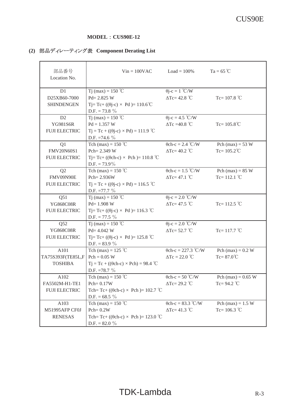#### **MODEL** : CUS90E-12

# **(2)** 㒊ရ䝕䜱䝺䞊䝔䜱䞁䜾⾲䚷**Component Derating List**

| 部品番号<br>Location No.                                        | $Vin = 100VAC$                                                                                                           | $Load = 100\%$                                             | $Ta = 65^{\circ}C$                          |
|-------------------------------------------------------------|--------------------------------------------------------------------------------------------------------------------------|------------------------------------------------------------|---------------------------------------------|
| D1<br>D25XB60-7000<br><b>SHINDENGEN</b>                     | Tj (max) = 150 °C<br>$Pd = 2.825 W$<br>Tj= Tc+ (( $\theta$ j-c) × Pd )= 110.6°C<br>D.F. = 73.8 $\%$                      | $\theta j - c = 1^{\circ} C/W$<br>$\Delta$ Tc= 42.8 °C     | Tc= $107.8$ °C                              |
| D <sub>2</sub><br>YG981S6R<br><b>FUJI ELECTRIC</b>          | T <sub>j</sub> (max) = 150 °C<br>$Pd = 1.357 W$<br>$Tj = Tc + ((\theta j - c) \times Pd) = 111.9$ °C<br>D.F. = 74.6 $\%$ | $\theta$ j-c = 4.5 °C/W<br>$\Delta$ Tc =40.8 °C            | Tc= $105.8^{\circ}$ C                       |
| Q1<br>FMV20N60S1<br><b>FUJI ELECTRIC</b>                    | Tch (max) = $150$ °C<br>Pch= 2.349 W<br>Tj= Tc+ (( $\theta$ ch-c) × Pch)= 110.8 °C<br>$D.F. = 73.9\%$                    | $\theta$ ch-c = 2.4 °C/W<br>$\Delta$ Tc= 40.2 °C           | Pch (max) = $53 W$<br>Tc= $105.2^{\circ}$ C |
| Q <sub>2</sub><br>FMV09N90E<br><b>FUJI ELECTRIC</b>         | Tch (max) = $150^{\circ}$ C<br>Pch= 2.936W<br>$Tj = Tc + ((\theta j - c) \times Pd) = 116.5$ °C<br>D.F. $=77.7\%$        | $\theta$ ch-c = 1.5 °C/W<br>$\Delta$ Tc= 47.1 °C           | Pch (max) = $85 W$<br>Tc= $112.1$ °C        |
| Q51<br>YG868C08R<br><b>FUJI ELECTRIC</b>                    | Tj (max) = 150 °C<br>$Pd = 1.908 W$<br>Tj= Tc+ (( $\theta$ j-c) × Pd )= 116.3 °C<br>$D.F. = 77.5 \%$                     | $\theta$ j-c = 2.0 °C/W<br>$\Delta$ Tc= 47.5 °C            | Tc= $112.5$ °C                              |
| Q52<br>YG868C08R<br><b>FUJI ELECTRIC</b>                    | Tj (max) = 150 °C<br>$Pd = 4.042 W$<br>Tj= Tc+ (( $\theta$ j-c) × Pd )= 125.8 °C<br>D.F. = $83.9\%$                      | $\overline{\theta}$ j-c = 2.0 °C/W<br>$\Delta$ Tc= 52.7 °C | Tc= $117.7^{\circ}$ C                       |
| A101<br>$TA75S393F(TE85L,F Pch = 0.05 W)$<br><b>TOSHIBA</b> | Tch (max) = 125 $\degree$ C<br>$Tj = Tc + ((\theta ch-c) \times Pch) = 98.4$ °C<br>D.F. = $78.7\%$                       | $\theta$ ch-c = 227.3 °C/W<br>$\Delta Tc = 22.0$ °C        | Pch (max) = $0.2 W$<br>$Tc = 87.0^{\circ}C$ |
| A102<br>FA5502M-H1-TE1<br><b>FUJI ELECTRIC</b>              | Tch (max) = $150^{\circ}$ C<br>$Pch = 0.17W$<br>Tch=Tc+ (( $\theta$ ch-c) × Pch)= 102.7 °C<br>D.F. = $68.5\%$            | $\theta$ ch-c = 50 °C/W<br>$\Delta Tc = 29.2$ °C           | Pch (max) = $0.65$ W<br>Tc= $94.2$ °C       |
| A103<br>M51995AFP CF0J<br><b>RENESAS</b>                    | Tch (max) = $150^{\circ}$ C<br>$Pch = 0.2W$<br>Tch=Tc+ (( $\theta$ ch-c) $\times$ Pch)= 123.0 °C<br>D.F. = $82.0\%$      | $\theta$ ch-c = 83.3 °C/W<br>$\Delta Tc = 41.3$ °C         | Pch (max) = $1.5 W$<br>Tc= $106.3$ °C       |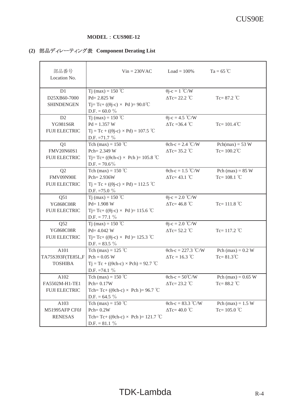#### **MODEL** : CUS90E-12

# **(2)** 㒊ရ䝕䜱䝺䞊䝔䜱䞁䜾⾲䚷**Component Derating List**

| 部品番号<br>Location No.                                        | $Vin = 230VAC$                                                                                                          | $Load = 100\%$                                             | $Ta = 65^{\circ}C$                    |
|-------------------------------------------------------------|-------------------------------------------------------------------------------------------------------------------------|------------------------------------------------------------|---------------------------------------|
| D1<br>D25XB60-7000<br><b>SHINDENGEN</b>                     | Tj (max) = 150 °C<br>$Pd = 2.825 W$<br>Tj= Tc+ (( $\theta$ j-c) × Pd )= 90.0°C<br>D.F. = 60.0 $\%$                      | $\theta j - c = 1^{\circ} C/W$<br>$\Delta Tc = 22.2$ °C    | Tc= $87.2$ °C                         |
| D <sub>2</sub><br>YG981S6R<br><b>FUJI ELECTRIC</b>          | T <sub>j</sub> (max) = 150 °C<br>$Pd = 1.357 W$<br>$Tj = Tc + ((\theta j - c) \times Pd) = 107.5$ °C<br>D.F. $=71.7 \%$ | $\theta$ j-c = 4.5 °C/W<br>$\Delta$ Tc = 36.4 °C           | Tc= $101.4^{\circ}$ C                 |
| Q1<br>FMV20N60S1<br><b>FUJI ELECTRIC</b>                    | Tch (max) = $150$ °C<br>Pch= 2.349 W<br>Tj= Tc+ (( $\theta$ ch-c) × Pch)= 105.8 °C<br>$D.F. = 70.6\%$                   | $\theta$ ch-c = 2.4 °C/W<br>$\Delta$ Tc= 35.2 °C           | $Pch(max) = 53 W$<br>$Tc = 100.2$ °C  |
| Q <sub>2</sub><br>FMV09N90E<br><b>FUJI ELECTRIC</b>         | Tch (max) = $150^{\circ}$ C<br>Pch= 2.936W<br>$Tj = Tc + ((\theta j - c) \times Pd) = 112.5$ °C<br>D.F. = $75.0\%$      | $\theta$ ch-c = 1.5 °C/W<br>$\Delta Tc = 43.1$ °C          | Pch $(max) = 85 W$<br>Tc= $108.1$ °C  |
| Q51<br>YG868C08R<br><b>FUJI ELECTRIC</b>                    | Tj (max) = 150 °C<br>$Pd = 1.908 W$<br>Tj= Tc+ (( $\theta$ j-c) × Pd )= 115.6 °C<br>$D.F. = 77.1 \%$                    | $\theta$ j-c = 2.0 °C/W<br>$\Delta$ Tc= 46.8 °C            | Tc= $111.8 °C$                        |
| Q52<br>YG868C08R<br><b>FUJI ELECTRIC</b>                    | Tj (max) = 150 °C<br>$Pd = 4.042 W$<br>Tj= Tc+ (( $\theta$ j-c) × Pd )= 125.3 °C<br>D.F. = $83.5\%$                     | $\overline{\theta}$ j-c = 2.0 °C/W<br>$\Delta$ Tc= 52.2 °C | Tc= $117.2$ °C                        |
| A101<br>$TA75S393F(TE85L,F Pch = 0.05 W)$<br><b>TOSHIBA</b> | Tch (max) = 125 $\degree$ C<br>$Tj = Tc + ((\theta ch-c) \times Pch) = 92.7$ °C<br>D.F. $=74.1\%$                       | $\theta$ ch-c = 227.3 °C/W<br>$\Delta Tc = 16.3$ °C        | Pch (max) = $0.2 W$<br>$Tc = 81.3$ °C |
| A102<br>FA5502M-H1-TE1<br><b>FUJI ELECTRIC</b>              | Tch (max) = $150$ °C<br>$Pch = 0.17W$<br>Tch=Tc+ (( $\theta$ ch-c) × Pch)= 96.7 °C<br>D.F. = $64.5\%$                   | $\theta$ ch-c = 50°C/W<br>$\Delta$ Tc= 23.2 °C             | Pch (max) = $0.65$ W<br>Tc= $88.2$ °C |
| A103<br>M51995AFP CF0J<br><b>RENESAS</b>                    | Tch (max) = $150^{\circ}$ C<br>$Pch = 0.2W$<br>Tch=Tc+ (( $\theta$ ch-c) $\times$ Pch)= 121.7 °C<br>D.F. = $81.1\%$     | $\theta$ ch-c = 83.3 °C/W<br>$\Delta Tc = 40.0$ °C         | Pch (max) = $1.5 W$<br>Tc= $105.0$ °C |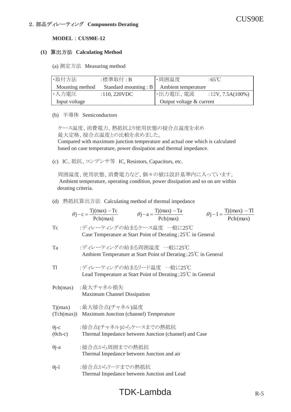#### **(1)**䚷⟬ฟ᪉ἲ䚷**Calculating Method**

(a) 測定方法 Measuring method

| ·取付方法           | :標準取付:B                      | ・周囲温度                    | :65 $\degree$ C     |
|-----------------|------------------------------|--------------------------|---------------------|
| Mounting method | Standard mounting : $B \mid$ | Ambient temperature      |                     |
| ・入力電圧           | $: 110, 220$ VDC             | ・出力電圧、電流                 | $:12V, 7.5A(100\%)$ |
| Input voltage   |                              | Output voltage & current |                     |

(b) 半導体 Semiconductors

ケース温度、消費電力、熱抵抗より使用状態の接合点温度を求め 最大定格、接合点温度との比較を求めました。 Compared with maximum junction temperature and actual one which is calculated based on case temperature, power dissipation and thermal impedance.

(c) IC、抵抗、コンデンサ等 IC, Resistors, Capacitors, etc.

周囲温度、使用状態、消費電力など、個々の値は設計基準内に入っています。 Ambient temperature, operating condition, power dissipation and so on are within derating criteria.

#### (d) 熱抵抗算出方法 Calculating method of thermal impedance

|                                 | $\theta j - c = \frac{Tj(max) - Tc}{Pch(max)}$ $\theta j - a = \frac{Tj(max) - Ta}{Pch(max)}$ $\theta j - 1 = \frac{Tj(max) - Tl}{Pch(max)}$ |
|---------------------------------|----------------------------------------------------------------------------------------------------------------------------------------------|
| Tc                              | :ディレーティングの始まるケース温度 一般に25℃<br>Case Temperature at Start Point of Derating; $25^{\circ}$ C in General                                          |
| Ta                              | :ディレーティングの始まる周囲温度 一般に25℃<br>Ambient Temperature at Start Point of Derating; 25°C in General                                                  |
| T <sub>1</sub>                  | :ディレーティングの始まるリード温度 一般に25℃<br>Lead Temperature at Start Point of Derating; $25^{\circ}$ C in General                                          |
| Pch(max)                        | :最大チャネル損失<br>Maximum Channel Dissipation                                                                                                     |
|                                 | Tj(max) :最大接合点(チャネル)温度<br>(Tch(max)) Maximum Junction (channel) Temperature                                                                  |
| $\theta$ j-c<br>$(\theta$ ch-c) | :接合点(チャネル)からケースまでの熱抵抗<br>Thermal Impedance between Junction (channel) and Case                                                               |
| $\theta$ j-a                    | :接合点から周囲までの熱抵抗<br>Thermal Impedance between Junction and air                                                                                 |
| $\theta$ j-1                    | :接合点からリードまでの熱抵抗<br>Thermal Impedance between Junction and Lead                                                                               |

# $TDK-Lambda$  R-5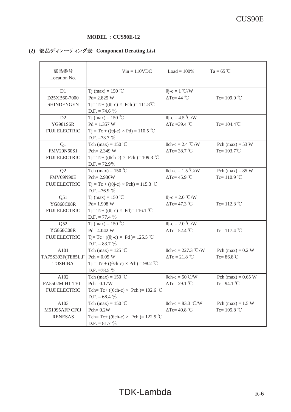#### **MODEL** : CUS90E-12

# **(2)** 㒊ရ䝕䜱䝺䞊䝔䜱䞁䜾⾲䚷**Component Derating List**

| 部品番号<br>Location No.                                        | $Vin = 110VDC$                                                                                                          | $Load = 100\%$                                      | $Ta = 65^{\circ}C$                           |
|-------------------------------------------------------------|-------------------------------------------------------------------------------------------------------------------------|-----------------------------------------------------|----------------------------------------------|
| D1<br>D25XB60-7000<br><b>SHINDENGEN</b>                     | Tj (max) = 150 °C<br>$Pd = 2.825 W$<br>Tj= Tc+ (( $\theta$ j-c) × Pch)= 111.8 <sup>°</sup> C<br>D.F. = 74.6 $\%$        | $\theta$ j-c = 1 °C/W<br>$\Delta$ Tc= 44 °C         | Tc= $109.0$ °C                               |
| D <sub>2</sub><br><b>YG981S6R</b><br><b>FUJI ELECTRIC</b>   | T <sub>j</sub> (max) = 150 °C<br>$Pd = 1.357 W$<br>$Tj = Tc + ((\theta j - c) \times Pd) = 110.5$ °C<br>D.F. = $73.7\%$ | $\theta$ j-c = 4.5 °C/W<br>$\Delta$ Tc = 39.4 °C    | $Tc = 104.4^{\circ}C$                        |
| Q1<br>FMV20N60S1<br><b>FUJI ELECTRIC</b>                    | Tch (max) = $150$ °C<br>Pch= 2.349 W<br>Tj= Tc+ (( $\theta$ ch-c) × Pch)= 109.3 °C<br>$D.F. = 72.9\%$                   | $\theta$ ch-c = 2.4 °C/W<br>$\Delta$ Tc= 38.7 °C    | Pch (max) = $53 W$<br>$Tc = 103.7^{\circ}C$  |
| Q2<br>FMV09N90E<br><b>FUJI ELECTRIC</b>                     | Tch (max) = $150$ °C<br>Pch= 2.936W<br>$Tj = Tc + ((\theta j - c) \times Pch) = 115.3$ °C<br>D.F. = 76.9 $\%$           | $\theta$ ch-c = 1.5 °C/W<br>$\Delta$ Tc= 45.9 °C    | Pch $(max) = 85 W$<br>Tc= $110.9$ °C         |
| Q51<br>YG868C08R<br><b>FUJI ELECTRIC</b>                    | Tj (max) = 150 °C<br>$Pd = 1.908 W$<br>Tj= Tc+ (( $\theta$ j-c) × Pd)= 116.1 °C<br>D.F. = 77.4 $\%$                     | $\theta$ j-c = 2.0 °C/W<br>$\Delta$ Tc= 47.3 °C     | Tc= $112.3$ °C                               |
| Q52<br><b>YG868C08R</b><br><b>FUJI ELECTRIC</b>             | Tj (max) = 150 °C<br>$Pd = 4.042 W$<br>Tj= Tc+ (( $\theta$ j-c) × Pd )= 125.5 °C<br>D.F. = $83.7\%$                     | $\theta$ j-c = 2.0 °C/W<br>$\Delta$ Tc= 52.4 °C     | Tc= $117.4$ °C                               |
| A101<br>$TA75S393F(TE85L,F Pch = 0.05 W)$<br><b>TOSHIBA</b> | Tch (max) = $125$ °C<br>$Tj = Tc + ((\theta ch-c) \times Pch) = 98.2$ °C<br>D.F. = 78.5 $\%$                            | $\theta$ ch-c = 227.3 °C/W<br>$\Delta Tc = 21.8$ °C | Pch (max) = $0.2 W$<br>$Tc = 86.8^{\circ}C$  |
| A102<br>FA5502M-H1-TE1<br><b>FUJI ELECTRIC</b>              | Tch (max) = $150^{\circ}$ C<br>$Pch = 0.17W$<br>Tch=Tc+ (( $\theta$ ch-c) × Pch)= 102.6 °C<br>D.F. = $68.4\%$           | $\theta$ ch-c = 50°C/W<br>$\Delta Tc = 29.1$ °C     | Pch (max) = $0.65$ W<br>Tc= $94.1^{\circ}$ C |
| A103<br>M51995AFP CF0J<br><b>RENESAS</b>                    | Tch (max) = $150$ °C<br>$Pch = 0.2W$<br>Tch=Tc+ (( $\theta$ ch-c) × Pch)= 122.5 °C<br>D.F. = $81.7 \%$                  | $\theta$ ch-c = 83.3 °C/W<br>$\Delta$ Tc= 40.8 °C   | Pch (max) = $1.5 W$<br>Tc= $105.8$ °C        |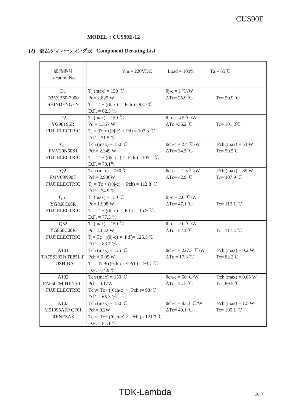#### **MODEL** : CUS90E-12

# **(2)** 㒊ရ䝕䜱䝺䞊䝔䜱䞁䜾⾲䚷**Component Derating List**

| 部品番号<br>Location No.                                        | $Vin = 220VDC$                                                                                                    | $Load = 100\%$                                              | $Ta = 65^{\circ}C$                           |
|-------------------------------------------------------------|-------------------------------------------------------------------------------------------------------------------|-------------------------------------------------------------|----------------------------------------------|
| D1<br>D25XB60-7000<br><b>SHINDENGEN</b>                     | Tj (max) = 150 °C<br>$Pd = 2.825 W$<br>Tj= Tc+ (( $\theta$ j-c) × Pch )= 93.7°C<br>D.F. = $62.5\%$                | $\theta$ j-c = 1 °C/W<br>$\Delta$ Tc= 25.9 °C               | Tc= $90.9$ °C                                |
| D <sub>2</sub><br><b>YG981S6R</b><br><b>FUJI ELECTRIC</b>   | Tj (max) = 150 °C<br>$Pd = 1.357 W$<br>$Tj = Tc + ((\theta j - c) \times Pd) = 107.3$ °C<br>D.F. = $71.5\%$       | $\theta$ j-c = 4.5 °C/W<br>$\Delta$ Tc = 36.2 °C            | $Tc = 101.2^{\circ}C$                        |
| Q1<br>FMV20N60S1<br><b>FUJI ELECTRIC</b>                    | Tch (max) = $150^{\circ}$ C<br>Pch= 2.349 W<br>Tj= Tc+ (( $\theta$ ch-c) × Pch)= 105.1 °C<br>$D.F. = 70.1\%$      | $\theta$ ch-c = 2.4 °C/W<br>$\Delta$ Tc= 34.5 °C            | Pch $(max) = 53$ W<br>Tc= $99.5^{\circ}$ C   |
| Q2<br>FMV09N90E<br><b>FUJI ELECTRIC</b>                     | Tch (max) = $150^{\circ}$ C<br>Pch= 2.936W<br>$Tj = Tc + ((\theta j-c) \times Pch) = 112.3$ °C<br>D.F. = $74.9\%$ | $\theta$ ch-c = 1.5 °C/W<br>$\Delta$ Tc= 42.9 °C            | Pch (max) = $85 W$<br>Tc= $107.9$ °C         |
| Q51<br>YG868C08R<br><b>FUJI ELECTRIC</b>                    | T <sub>j</sub> (max) = 150 °C<br>$Pd = 1.908 W$<br>Tj= Tc+ (( $\theta$ j-c) × Pd )= 115.9 °C<br>$D.F. = 77.3 \%$  | $\overline{\theta}$ j-c = 2.0 °C/W<br>$\Delta Tc = 47.1$ °C | Tc= $112.1$ °C                               |
| Q52<br><b>YG868C08R</b><br><b>FUJI ELECTRIC</b>             | T <sub>j</sub> (max) = 150 °C<br>$Pd = 4.042 W$<br>Tj= Tc+ (( $\theta$ j-c) × Pd )= 125.5 °C<br>D.F. = $83.7\%$   | $\theta$ j-c = 2.0 °C/W<br>$\Delta$ Tc= 52.4 °C             | Tc= $117.4$ °C                               |
| A101<br>$TA75S393F(TE85L,F Pch = 0.05 W)$<br><b>TOSHIBA</b> | Tch (max) = $125$ °C<br>$Tj = Tc + ((\theta ch-c) \times Pch) = 93.7$ °C<br>D.F. = 74.9 $\%$                      | $\theta$ ch-c = 227.3 °C/W<br>$\Delta Tc = 17.3$ °C         | Pch (max) = $0.2 W$<br>$Tc = 82.3^{\circ}C$  |
| A102<br>FA5502M-H1-TE1<br><b>FUJI ELECTRIC</b>              | Tch (max) = $150$ °C<br>$Pch = 0.17W$<br>Tch=Tc+ (( $\theta$ ch-c) × Pch)=98 °C<br>D.F. = $65.3\%$                | $\theta$ ch-c = 50 °C/W<br>$\Delta$ Tc= 24.5 °C             | Pch (max) = $0.65$ W<br>Tc= $89.5^{\circ}$ C |
| A103<br>M51995AFP CF0J<br><b>RENESAS</b>                    | Tch (max) = $150$ °C<br>$Pch = 0.2W$<br>Tch=Tc+ (( $\theta$ ch-c) × Pch)= 121.7 °C<br>D.F. = $81.1\%$             | $\theta$ ch-c = 83.3 °C/W<br>$\Delta Tc = 40.1$ °C          | Pch (max) = $1.5 W$<br>Tc= $105.1$ °C        |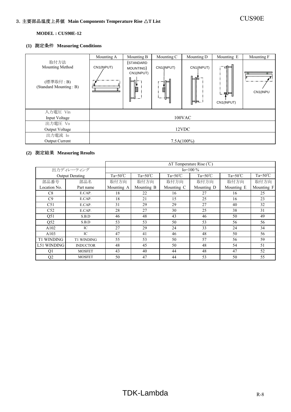#### **(1)** 測定条件 **Measuring Conditions**

|                                                                       | Mounting A                           | Mounting B                                     | Mounting C                                 | Mounting D              | Mounting E               | Mounting F                               |
|-----------------------------------------------------------------------|--------------------------------------|------------------------------------------------|--------------------------------------------|-------------------------|--------------------------|------------------------------------------|
| 取付方法<br><b>Mounting Method</b><br>(標準取付: B)<br>(Standard Mounting: B) | CN1(INPUT)<br>,,,,,,,,,,,,,,,,,,,,,, | (STANDARD<br>MOUNTING)<br>CN1(INPUT)<br>T<br>I | CN1(JNPUT)<br>$\overline{\mathbb{Z}}$<br>ᆮ | CN1(INPUT)<br>∖⊨⊫<br>⊫⊫ | ਖ⊨<br>- 덕트<br>CN1(INPUT) | <u>un provinciamente pro</u><br>CN1(INPU |
| 入力電圧 Vin                                                              |                                      |                                                |                                            |                         |                          |                                          |
| Input Voltage                                                         |                                      |                                                |                                            | $100$ VAC               |                          |                                          |
| 出力電圧 Vo                                                               |                                      |                                                |                                            |                         |                          |                                          |
| <b>Output Voltage</b>                                                 |                                      |                                                |                                            | 12VDC                   |                          |                                          |
| 出力電流 Io                                                               |                                      |                                                |                                            |                         |                          |                                          |
| <b>Output Current</b>                                                 |                                      |                                                |                                            | $7.5A(100\%)$           |                          |                                          |

|                   |                        | $\Delta T$ Temperature Rise (°C) |                    |                    |                    |                    |                    |
|-------------------|------------------------|----------------------------------|--------------------|--------------------|--------------------|--------------------|--------------------|
|                   | 出力ディレーティング             | $Io=100\%$                       |                    |                    |                    |                    |                    |
|                   | <b>Output Derating</b> | $Ta=50^{\circ}C$                 | $Ta = 50^{\circ}C$ | $Ta = 50^{\circ}C$ | $Ta = 50^{\circ}C$ | $Ta = 50^{\circ}C$ | $Ta = 50^{\circ}C$ |
| 部品番号              | 部品名                    | 取付方向                             | 取付方向               | 取付方向               | 取付方向               | 取付方向               | 取付方向               |
| Location No.      | Part name              | Mounting A                       | Mounting B         | Mounting C         | Mounting D         | Mounting E         | Mounting F         |
| C8                | E.CAP.                 | 18                               | 22                 | 16                 | 27                 | 16                 | 25                 |
| C9                | E.CAP.                 | 18                               | 21                 | 15                 | 25                 | 16                 | 23                 |
| C51               | E.CAP.                 | 31                               | 29                 | 29                 | 27                 | 40                 | 32                 |
| C52               | E.CAP.                 | 28                               | 27                 | 30                 | 25                 | 38                 | 31                 |
| Q51               | S.B.D                  | 46                               | 48                 | 43                 | 46                 | 50                 | 49                 |
| Q52               | S.B.D                  | 53                               | 53                 | 50                 | 53                 | 56                 | 56                 |
| A102              | IC                     | 27                               | 29                 | 24                 | 33                 | 24                 | 34                 |
| A103              | IC                     | 47                               | 41                 | 46                 | 48                 | 50                 | 56                 |
| <b>T1 WINDING</b> | T1 WINDING             | 55                               | 53                 | 50                 | 57                 | 56                 | 59                 |
| L51 WINDING       | <b>INDUCTOR</b>        | 48                               | 45                 | 50                 | 48                 | 54                 | 51                 |
| Q1                | <b>MOSFET</b>          | 43                               | 40                 | 44                 | 48                 | 47                 | 52                 |
| Q <sub>2</sub>    | <b>MOSFET</b>          | 50                               | 47                 | 44                 | 53                 | 50                 | 55                 |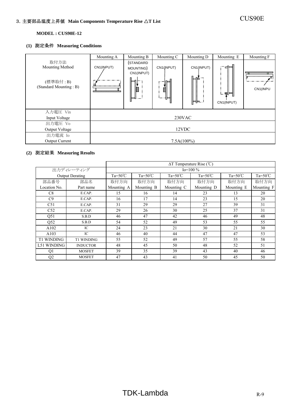#### **(1)** 測定条件 **Measuring Conditions**

|                                                                | Mounting A                          | Mounting B                                | Mounting C           | Mounting D              | Mounting E             | Mounting F                |
|----------------------------------------------------------------|-------------------------------------|-------------------------------------------|----------------------|-------------------------|------------------------|---------------------------|
| 取付方法<br>Mounting Method<br>(標準取付: B)<br>(Standard Mounting: B) | CN1(INPUT)<br>,,,,,,,,,,,,,,,,,,,,, | (STANDARD<br>MOUNTING)<br>CN1(INPUT)<br>Ź | CN1(INPUT)<br>Ż<br>ᄐ | CN1(INPUT)<br>∖⊨⊫<br>ਥ⊨ | ਖ⊧<br>早日<br>CN1(INPUT) | aqaaaaaaaaqaa<br>CN1(INPU |
| 入力電圧 Vin                                                       |                                     |                                           |                      |                         |                        |                           |
| Input Voltage                                                  |                                     |                                           |                      | 230VAC                  |                        |                           |
| 出力電圧 Vo                                                        |                                     |                                           |                      |                         |                        |                           |
| <b>Output Voltage</b>                                          |                                     |                                           |                      | 12VDC                   |                        |                           |
| 出力電流 Io                                                        |                                     |                                           |                      |                         |                        |                           |
| <b>Output Current</b>                                          |                                     |                                           |                      | $7.5A(100\%)$           |                        |                           |

|                   |                        | $\Delta T$ Temperature Rise (°C) |                  |                    |                    |                  |                    |
|-------------------|------------------------|----------------------------------|------------------|--------------------|--------------------|------------------|--------------------|
|                   | 出力ディレーティング             |                                  |                  |                    | $Io=100\%$         |                  |                    |
|                   | <b>Output Derating</b> | $Ta = 50^{\circ}C$               | $Ta=50^{\circ}C$ | $Ta = 50^{\circ}C$ | $Ta = 50^{\circ}C$ | $Ta=50^{\circ}C$ | $Ta = 50^{\circ}C$ |
| 部品番号              | 部品名                    | 取付方向                             | 取付方向             | 取付方向               | 取付方向               | 取付方向             | 取付方向               |
| Location No.      | Part name              | Mounting A                       | Mounting B       | Mounting C         | Mounting D         | Mounting E       | Mounting F         |
| C8                | E.CAP.                 | 15                               | 16               | 14                 | 23                 | 13               | 20                 |
| C9                | E.CAP.                 | 16                               | 17               | 14                 | 23                 | 15               | 20                 |
| C51               | E.CAP.                 | 31                               | 29               | 29                 | 27                 | 39               | 31                 |
| C <sub>52</sub>   | E.CAP.                 | 29                               | 26               | 30                 | 25                 | 37               | 31                 |
| Q51               | S.B.D                  | 46                               | 47               | 42                 | 46                 | 49               | 48                 |
| Q52               | S.B.D                  | 54                               | 52               | 49                 | 53                 | 55               | 55                 |
| A102              | IC                     | 24                               | 23               | 21                 | 30                 | 21               | 30                 |
| A103              | IC.                    | 46                               | 40               | 44                 | 47                 | 47               | 53                 |
| <b>T1 WINDING</b> | <b>T1 WINDING</b>      | 55                               | 52               | 49                 | 57                 | 55               | 58                 |
| L51 WINDING       | <b>INDUCTOR</b>        | 48                               | 45               | 50                 | 48                 | 52               | 51                 |
| Q1                | <b>MOSFET</b>          | 39                               | 35               | 39                 | 43                 | 40               | 46                 |
| Q2                | <b>MOSFET</b>          | 47                               | 43               | 41                 | 50                 | 45               | 50                 |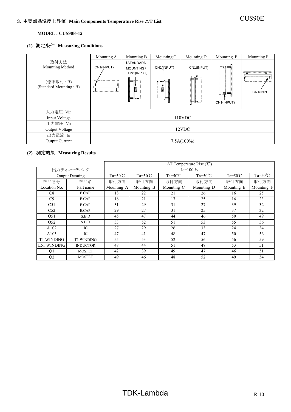#### **(1)** 測定条件 **Measuring Conditions**

|                                                                | Mounting A                         | Mounting B                                       | Mounting C           | Mounting D                  | Mounting E             | Mounting F                          |
|----------------------------------------------------------------|------------------------------------|--------------------------------------------------|----------------------|-----------------------------|------------------------|-------------------------------------|
| 取付方法<br>Mounting Method<br>(標準取付: B)<br>(Standard Mounting: B) | CN1(INPUT)<br>,,,,,,,,,,,,,,,,,,,, | (STANDARD<br>MOUNTING)<br>CN1(INPUT)<br>ا⊓⊑<br>Ø | CN1(JNPUT)<br>Ž<br>ᆖ | CN1(INPUT)<br>{⊨⊫≩ –<br>∖⊨⊫ | НE<br>뛰다<br>CN1(INPUT) | <del>aqaanaanaqan</del><br>CN1(INPU |
| 入力電圧 Vin                                                       |                                    |                                                  |                      |                             |                        |                                     |
| Input Voltage                                                  |                                    |                                                  |                      | 110VDC                      |                        |                                     |
| 出力電圧 Vo                                                        |                                    |                                                  |                      |                             |                        |                                     |
| Output Voltage                                                 | 12VDC                              |                                                  |                      |                             |                        |                                     |
| 出力電流 Io                                                        |                                    |                                                  |                      |                             |                        |                                     |
| <b>Output Current</b>                                          | $7.5A(100\%)$                      |                                                  |                      |                             |                        |                                     |

|                   |                        | $\Delta T$ Temperature Rise (°C) |                  |                    |                  |                  |                    |
|-------------------|------------------------|----------------------------------|------------------|--------------------|------------------|------------------|--------------------|
|                   | 出力ディレーティング             |                                  |                  |                    | $Io=100\%$       |                  |                    |
|                   | <b>Output Derating</b> | Ta= $50^{\circ}$ C               | $Ta=50^{\circ}C$ | $Ta = 50^{\circ}C$ | $Ta=50^{\circ}C$ | $Ta=50^{\circ}C$ | $Ta = 50^{\circ}C$ |
| 部品番号              | 部品名                    | 取付方向                             | 取付方向             | 取付方向               | 取付方向             | 取付方向             | 取付方向               |
| Location No.      | Part name              | Mounting A                       | Mounting B       | Mounting C         | Mounting D       | Mounting E       | Mounting F         |
| C8                | E.CAP.                 | 18                               | 22               | 21                 | 26               | 16               | 25                 |
| C9                | E.CAP.                 | 18                               | 21               | 17                 | 25               | 16               | 23                 |
| C51               | E.CAP.                 | 31                               | 29               | 31                 | 27               | 39               | 32                 |
| C <sub>52</sub>   | E.CAP.                 | 29                               | 27               | 31                 | 25               | 37               | 32                 |
| Q51               | S.B.D                  | 45                               | 47               | 44                 | 46               | 50               | 49                 |
| Q52               | S.B.D                  | 53                               | 52               | 51                 | 53               | 55               | 56                 |
| A102              | IC                     | 27                               | 29               | 26                 | 33               | 24               | 34                 |
| A103              | IC                     | 47                               | 41               | 48                 | 47               | 50               | 56                 |
| <b>T1 WINDING</b> | <b>T1 WINDING</b>      | 55                               | 53               | 52                 | 56               | 56               | 59                 |
| L51 WINDING       | <b>INDUCTOR</b>        | 48                               | 44               | 51                 | 48               | 53               | 51                 |
| Q1                | <b>MOSFET</b>          | 42                               | 39               | 49                 | 47               | 46               | 51                 |
| Q2                | <b>MOSFET</b>          | 49                               | 46               | 48                 | 52               | 49               | 54                 |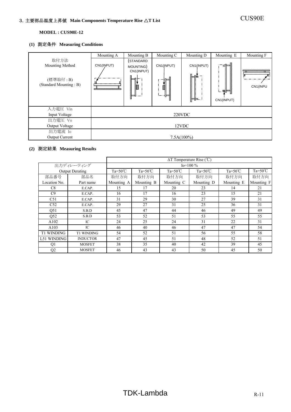# 3.主要部品温度上昇値 **Main Components Temperature Rise** △**T List** CUS90E

#### **MODEL : CUS90E-12**

#### **(1)** 測定条件 **Measuring Conditions**

|                                                                | Mounting A                         | Mounting B                                 | Mounting C                      | Mounting D               | Mounting E                  | Mounting F                          |
|----------------------------------------------------------------|------------------------------------|--------------------------------------------|---------------------------------|--------------------------|-----------------------------|-------------------------------------|
| 取付方法<br>Mounting Method<br>(標準取付: B)<br>(Standard Mounting: B) | CN1(INPUT)<br>,,,,,,,,,,,,,,,,,,,, | (STANDARD<br>MOUNTING)<br>CN1(INPUT)<br>I, | CN1(JNPUT)<br>⊨<br>t<br>2<br>ι⊨ | CN1(INPUT)<br>∰⊫∯<br>┡╬┺ | ਖੋ⊨<br>. झा⊟ध<br>CN1(INPUT) | <del>aqaanaanaaqa</del><br>CN1(INPU |
| 入力電圧 Vin                                                       |                                    |                                            |                                 |                          |                             |                                     |
| Input Voltage                                                  |                                    |                                            |                                 | 220VDC                   |                             |                                     |
| 出力電圧 Vo                                                        |                                    |                                            |                                 |                          |                             |                                     |
| Output Voltage                                                 | 12VDC                              |                                            |                                 |                          |                             |                                     |
| 出力電流 Io                                                        |                                    |                                            |                                 |                          |                             |                                     |
| <b>Output Current</b>                                          | $7.5A(100\%)$                      |                                            |                                 |                          |                             |                                     |

|                   |                        | $\Delta T$ Temperature Rise (°C) |                    |                    |                    |                    |                    |  |
|-------------------|------------------------|----------------------------------|--------------------|--------------------|--------------------|--------------------|--------------------|--|
|                   | 出力ディレーティング             |                                  | $Io=100\%$         |                    |                    |                    |                    |  |
|                   | <b>Output Derating</b> | $Ta = 50^{\circ}C$               | $Ta = 50^{\circ}C$ | $Ta = 50^{\circ}C$ | $Ta = 50^{\circ}C$ | $Ta = 50^{\circ}C$ | $Ta = 50^{\circ}C$ |  |
| 部品番号              | 部品名                    | 取付方向                             | 取付方向               | 取付方向               | 取付方向               | 取付方向               | 取付方向               |  |
| Location No.      | Part name              | Mounting A                       | Mounting B         | Mounting C         | Mounting D         | Mounting E         | Mounting F         |  |
| C8                | E.CAP.                 | 15                               | 17                 | 20                 | 23                 | 14                 | 21                 |  |
| C9                | E.CAP.                 | 16                               | 17                 | 16                 | 23                 | 15                 | 21                 |  |
| C51               | E.CAP.                 | 31                               | 29                 | 30                 | 27                 | 39                 | 31                 |  |
| C52               | E.CAP.                 | 29                               | 27                 | 31                 | 25                 | 36                 | 31                 |  |
| Q51               | S.B.D                  | 45                               | 47                 | 44                 | 46                 | 49                 | 49                 |  |
| Q52               | S.B.D                  | 53                               | 52                 | 51                 | 53                 | 55                 | 55                 |  |
| A102              | IC                     | 24                               | 25                 | 24                 | 31                 | 22                 | 31                 |  |
| A103              | IC                     | 46                               | 40                 | 46                 | 47                 | 47                 | 54                 |  |
| <b>T1 WINDING</b> | <b>T1 WINDING</b>      | 54                               | 52                 | 51                 | 56                 | 55                 | 58                 |  |
| L51 WINDING       | <b>INDUCTOR</b>        | 47                               | 45                 | 51                 | 48                 | 52                 | 51                 |  |
| Q1                | <b>MOSFET</b>          | 38                               | 35                 | 40                 | 42                 | 39                 | 45                 |  |
| Q2                | <b>MOSFET</b>          | 46                               | 43                 | 43                 | 50                 | 45                 | 50                 |  |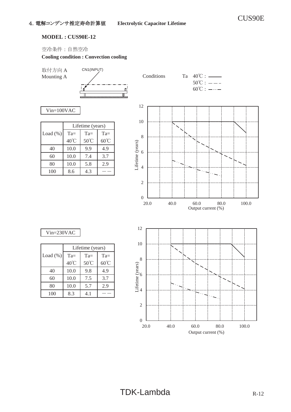空冷条件:自然空冷

#### **Cooling condition : Convection cooling**

取付方向 A



Vin=100VAC

|             | Lifetime (years) |                |                |  |
|-------------|------------------|----------------|----------------|--|
| Load $(\%)$ | $Ta =$           | $Ta =$         | $Ta =$         |  |
|             | 40°C             | $50^{\circ}$ C | $60^{\circ}$ C |  |
| 40          | 10.0             | 9.9            | 4.9            |  |
| 60          | 10.0             | 7.4            | 3.7            |  |
| 80          | 10.0             | 5.8            | 2.9            |  |
| 100         | 8.6              | 4.3            |                |  |



|              | Lifetime (years) |                |                |  |  |
|--------------|------------------|----------------|----------------|--|--|
| Load $(\% )$ | $Ta =$           | $Ta =$         | $Ta =$         |  |  |
|              | 40°C             | $50^{\circ}$ C | $60^{\circ}$ C |  |  |
| 40           | 10.0             | 9.8            | 4.9            |  |  |
| 60           | 10.0             | 7.5            | 3.7            |  |  |
| 80           | 10.0             | 5.7            | 2.9            |  |  |
| 100          | 8.3              | 4.1            |                |  |  |

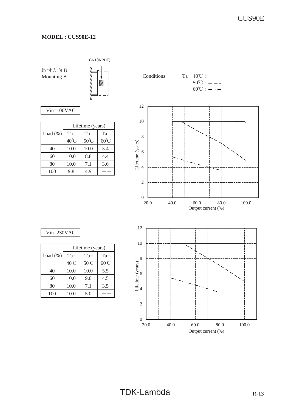#### **MODEL : CUS90E-12**

取付方向 B



Vin=100VAC

|              | Lifetime (years) |                |                |  |
|--------------|------------------|----------------|----------------|--|
| Load $(\% )$ | $Ta =$           | $Ta =$         | $Ta =$         |  |
|              | 40°C             | $50^{\circ}$ C | $60^{\circ}$ C |  |
| 40           | 10.0             | 10.0           | 5.4            |  |
| 60           | 10.0             | 8.8            | 4.4            |  |
| 80           | 10.0             | 7.1            | 3.6            |  |
| 100          | 9.8              | 4.9            |                |  |



|             | Lifetime (years) |                |                |  |
|-------------|------------------|----------------|----------------|--|
| Load $(\%)$ | $Ta =$           | $Ta =$         | $Ta =$         |  |
|             | 40°C             | $50^{\circ}$ C | $60^{\circ}$ C |  |
| 40          | 10.0             | 10.0           | 5.5            |  |
| 60          | 10.0             | 9.0            | 4.5            |  |
| 80          | 10.0             | 7.1            | 3.5            |  |
| 100         | 10.0             | 5.0            |                |  |

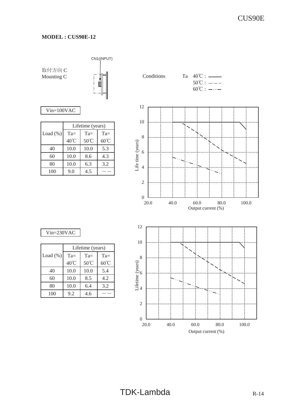#### **MODEL : CUS90E-12**

CN1(INPUT)



Vin=100VAC

|             | Lifetime (years) |        |                |  |
|-------------|------------------|--------|----------------|--|
| Load $(\%)$ | $Ta =$           | $Ta =$ | $Ta=$          |  |
|             | 40°C             | 50°C   | $60^{\circ}$ C |  |
| 40          | 10.0             | 10.0   | 5.3            |  |
| 60          | 10.0             | 8.6    | 4.3            |  |
| 80          | 10.0             | 6.3    | 3.2            |  |
| 100         | 9.0              | 45     |                |  |



|              | Lifetime (years) |                |                |  |  |
|--------------|------------------|----------------|----------------|--|--|
| Load $(\% )$ | $Ta =$           | $Ta =$         | $Ta =$         |  |  |
|              | 40°C             | $50^{\circ}$ C | $60^{\circ}$ C |  |  |
| 40           | 10.0             | 10.0           | 5.4            |  |  |
| 60           | 10.0             | 8.5            | 4.2            |  |  |
| 80           | 10.0             | 6.4            | 3.2            |  |  |
| 100          | 9.2              | 4.6            |                |  |  |

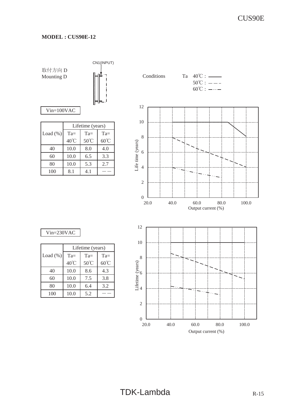CN1(INPUT)

取付方向 D

Vin=100VAC

|              | Lifetime (years) |                |                |  |
|--------------|------------------|----------------|----------------|--|
| Load $(\% )$ | $Ta =$           | $Ta =$         | $Ta =$         |  |
|              | $40^{\circ}$ C   | $50^{\circ}$ C | $60^{\circ}$ C |  |
| 40           | 10.0             | 8.0            | 4.0            |  |
| 60           | 10.0             | 6.5            | 3.3            |  |
| 80           | 10.0             | 5.3            | 2.7            |  |
| 100          | 8.1              | 4.1            |                |  |



20.0 40.0 60.0 80.0 100.0

Output current (%)

#### Vin=230VAC

|              | Lifetime (years) |                |                |
|--------------|------------------|----------------|----------------|
| Load $(\% )$ | $Ta =$           | $Ta =$         | $Ta =$         |
|              | 40°C             | $50^{\circ}$ C | $60^{\circ}$ C |
| 40           | 10.0             | 8.6            | 4.3            |
| 60           | 10.0             | 7.5            | 3.8            |
| 80           | 10.0             | 6.4            | 3.2            |
| 100          | 10.0             | 5.2            |                |



 $_{\begin{array}{c} 0 \\ 20.0 \end{array}}$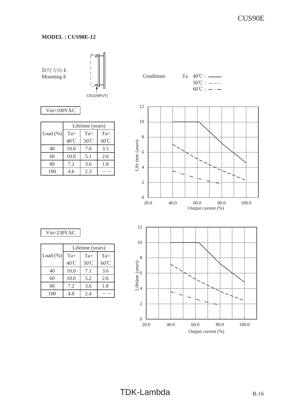

Vin=100VAC

|             | Lifetime (years) |                |                |
|-------------|------------------|----------------|----------------|
| Load $(\%)$ | $Ta =$           | $Ta =$         | $Ta =$         |
|             | 40°C             | $50^{\circ}$ C | $60^{\circ}$ C |
| 40          | 10.0             | 7.0            | 3.5            |
| 60          | 10.0             | 5.1            | 2.6            |
| 80          | 7.2              | 3.6            | 1.8            |
| 100         | 4.6              | 2.3            |                |

Mounting E  $\|\|\$  Conditions Ta  $40^{\circ}$ C : —  $50^{\circ}$ C :  $-- 60^{\circ}$ C :  $-\cdots$ 12 10 8 Life time (years) Life time (years) 6 4 2  $_{\frac{0}{20.0}}$ 20.0 40.0 60.0 80.0 100.0 Output current (%) 12 10 8 Lifetime (years) 6 4

20.0 40.0 60.0 80.0 100.0

Output current (%)

#### Vin=230VAC

|             | Lifetime (years) |                        |                |
|-------------|------------------|------------------------|----------------|
| Load $(\%)$ | $Ta =$           | $Ta =$                 | $Ta =$         |
|             | 40°C             | $50^{\circ}\mathrm{C}$ | $60^{\circ}$ C |
| 40          | 10.0             | 7.1                    | 3.6            |
| 60          | 10.0             | 5.2                    | 2.6            |
| 80          | 7.2              | 3.6                    | 1.8            |
| 100         | 4.8              | 2.4                    |                |



 $_{\begin{array}{c} 0 \\ 20.0 \end{array}}$ 

2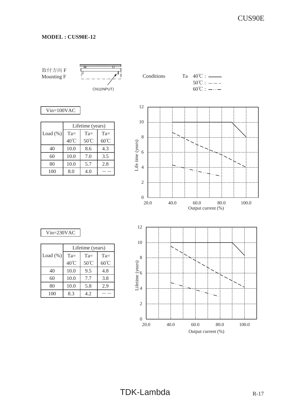取付方向 F



#### Vin=100VAC

|             | Lifetime (years) |        |                |
|-------------|------------------|--------|----------------|
| Load $(\%)$ | $Ta =$           | $Ta =$ | $Ta =$         |
|             | 40°C             | 50°C   | $60^{\circ}$ C |
| 40          | 10.0             | 8.6    | 4.3            |
| 60          | 10.0             | 7.0    | 3.5            |
| 80          | 10.0             | 5.7    | 2.8            |
| 100         | 8.0              | 4.0    |                |



|              | Lifetime (years) |                |                |
|--------------|------------------|----------------|----------------|
| Load $(\% )$ | $Ta =$           | $Ta=$          | $Ta =$         |
|              | $40^{\circ}$ C   | $50^{\circ}$ C | $60^{\circ}$ C |
| 40           | 10.0             | 9.5            | 4.8            |
| 60           | 10.0             | 7.7            | 3.8            |
| 80           | 10.0             | 5.8            | 2.9            |
| 100          | 8.3              | 4.2            |                |

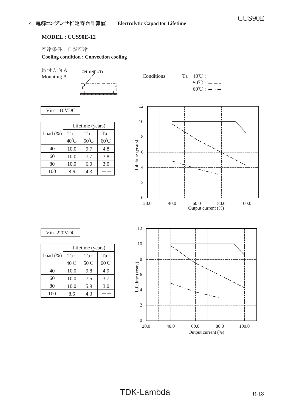#### **MODEL : CUS90E-12**

空冷条件:自然空冷

#### **Cooling condition : Convection cooling**

取付方向 A



Vin=110VDC

|             | Lifetime (years) |                |                |
|-------------|------------------|----------------|----------------|
| Load $(\%)$ | $Ta =$           | $Ta =$         | $Ta =$         |
|             | 40°C             | $50^{\circ}$ C | $60^{\circ}$ C |
| 40          | 10.0             | 9.7            | 4.8            |
| 60          | 10.0             | 7.7            | 3.8            |
| 80          | 10.0             | 6.0            | 3.0            |
| 100         | 8.6              | 4.3            |                |



#### Vin=220VDC

|             | Lifetime (years)      |        |                |
|-------------|-----------------------|--------|----------------|
| Load $(\%)$ | $Ta =$                | $Ta =$ | $Ta =$         |
|             | $40^{\circ}\!{\rm C}$ | 50°C   | $60^{\circ}$ C |
| 40          | 10.0                  | 9.8    | 4.9            |
| 60          | 10.0                  | 7.5    | 3.7            |
| 80          | 10.0                  | 5.9    | 3.0            |
| 100         | 8.6                   | 4.3    |                |

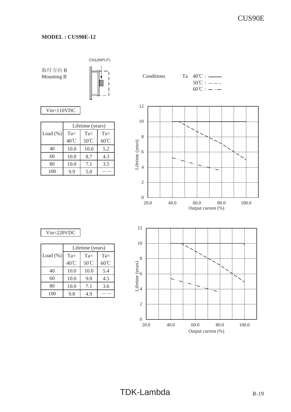#### **MODEL : CUS90E-12**

取付方向 B



#### Vin=110VDC

|              | Lifetime (years) |        |                |
|--------------|------------------|--------|----------------|
| Load $(\% )$ | $Ta =$           | $Ta =$ | $Ta=$          |
|              | 40°C             | 50°C   | $60^{\circ}$ C |
| 40           | 10.0             | 10.0   | 5.2            |
| 60           | 10.0             | 8.7    | 4.3            |
| 80           | 10.0             | 7.1    | 3.5            |
| 100          | 9.9              | 5.0    |                |

Mounting B  $\left|\left|\right|$   $\right|$  : Conditions Ta 40°C : \_\_\_\_\_  $50^{\circ}$ C :  $-- 60^{\circ}$ C :  $-\cdots$  $_{0}$  L<br>20.0 2 4 6 8 10 12 20.0 40.0 60.0 80.0 100.0 Lifetime (years) Output current (%) 10 12

#### Vin=220VDC

|             | Lifetime (years) |                |                |
|-------------|------------------|----------------|----------------|
| Load $(\%)$ | $Ta =$           | $Ta =$         | $Ta =$         |
|             | 40°C             | $50^{\circ}$ C | $60^{\circ}$ C |
| 40          | 10.0             | 10.0           | 5.4            |
| 60          | 10.0             | 9.0            | 4.5            |
| 80          | 10.0             | 7.1            | 3.6            |
| 100         | 9.8              | 4.9            |                |

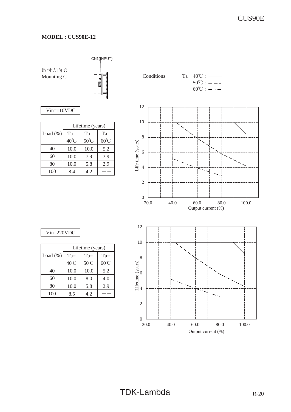#### **MODEL : CUS90E-12**

CN1(INPUT)



#### Vin=110VDC

|              | Lifetime (years) |        |                |
|--------------|------------------|--------|----------------|
| Load $(\% )$ | $Ta =$           | $Ta =$ | $Ta=$          |
|              | 40°C             | 50°C   | $60^{\circ}$ C |
| 40           | 10.0             | 10.0   | 5.2            |
| 60           | 10.0             | 7.9    | 3.9            |
| 80           | 10.0             | 5.8    | 2.9            |
| 100          | 8.4              | 4.2    |                |



20.0 40.0 60.0 80.0 100.0

Output current (%)

#### Vin=220VDC

|             | Lifetime (years) |                |                |
|-------------|------------------|----------------|----------------|
| Load $(\%)$ | $Ta =$           | $Ta =$         | $Ta =$         |
|             | 40°C             | $50^{\circ}$ C | $60^{\circ}$ C |
| 40          | 10.0             | 10.0           | 5.2            |
| 60          | 10.0             | 8.0            | 4.0            |
| 80          | 10.0             | 5.8            | 2.9            |
| 100         | 8.5              | 4.2            |                |

 $_{\begin{array}{c} 0 \\ 20.0 \end{array}}$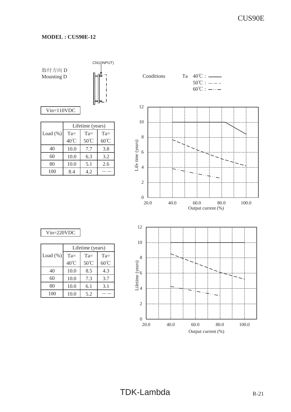CN1(INPUT)

取付方向 D

Vin=110VDC

|             | Lifetime (years) |                |                |
|-------------|------------------|----------------|----------------|
| Load $(\%)$ | $Ta =$           | $Ta =$         | $Ta =$         |
|             | $40^{\circ}$ C   | $50^{\circ}$ C | $60^{\circ}$ C |
| 40          | 10.0             | 7.7            | 3.8            |
| 60          | 10.0             | 6.3            | 3.2            |
| 80          | 10.0             | 5.1            | 2.6            |
| 100         | 8.4              | 4.2            |                |

Mounting D  $\leftarrow$   $\leftarrow$   $\leftarrow$  Conditions Ta 40°C :  $\leftarrow$  $50^{\circ}$ C :  $-- 60^{\circ}$ C :  $-\cdots$ 12 10 8 Life time (years) Life time (years) 6 4 2  $_{0}^{\circ}$  20.0 20.0 40.0 60.0 80.0 100.0 Output current (%) 12 10 8 6  $\overline{\phantom{a}}$ 4

#### Vin=220VDC

|             | Lifetime (years) |                |                |  |  |  |  |  |
|-------------|------------------|----------------|----------------|--|--|--|--|--|
| Load $(\%)$ | $Ta =$           | $Ta =$         | $Ta =$         |  |  |  |  |  |
|             | 40°C             | $50^{\circ}$ C | $60^{\circ}$ C |  |  |  |  |  |
| 40          | 10.0             | 8.5            | 4.3            |  |  |  |  |  |
| 60          | 10.0             | 7.3            | 3.7            |  |  |  |  |  |
| 80          | 10.0             | 6.1            | 3.1            |  |  |  |  |  |
| 100         | 10.0             | 5.2            |                |  |  |  |  |  |

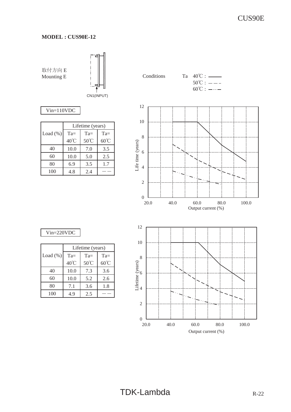

Vin=110VDC

|              | Lifetime (years) |                |                |  |  |  |  |
|--------------|------------------|----------------|----------------|--|--|--|--|
| Load $(\% )$ | $Ta =$           | $Ta =$         | $Ta=$          |  |  |  |  |
|              | 40°C             | $50^{\circ}$ C | $60^{\circ}$ C |  |  |  |  |
| 40           | 10.0             | 7.0            | 3.5            |  |  |  |  |
| 60           | 10.0             | 5.0            | 2.5            |  |  |  |  |
| 80           | 6.9              | 3.5            | 1.7            |  |  |  |  |
| 100          | 4.8              | 2.4            |                |  |  |  |  |



20.0 40.0 60.0 80.0 100.0

Output current (%)

#### Vin=220VDC

|              | Lifetime (years) |                |                |  |  |  |  |
|--------------|------------------|----------------|----------------|--|--|--|--|
| Load $(\% )$ | $Ta =$           | $Ta =$         | $Ta =$         |  |  |  |  |
|              | $40^{\circ}$ C   | $50^{\circ}$ C | $60^{\circ}$ C |  |  |  |  |
| 40           | 10.0             | 7.3            | 3.6            |  |  |  |  |
| 60           | 10.0             | 5.2            | 2.6            |  |  |  |  |
| 80           | 7.1              | 3.6            | 1.8            |  |  |  |  |
| 100          | 4.9              | 2.5            |                |  |  |  |  |

 $_{\begin{array}{c} 0 \\ 20.0 \end{array}}$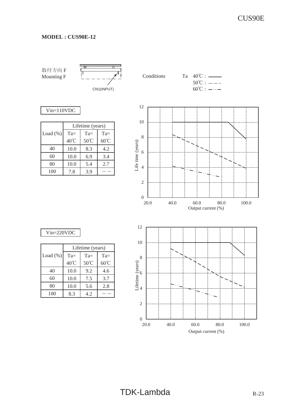取付方向 F



#### Vin=110VDC

|              | Lifetime (years) |        |                |  |  |  |  |
|--------------|------------------|--------|----------------|--|--|--|--|
| Load $(\% )$ | $Ta =$           | $Ta =$ | $Ta =$         |  |  |  |  |
|              | 40°C             | 50°C   | $60^{\circ}$ C |  |  |  |  |
| 40           | 10.0             | 8.3    | 4.2            |  |  |  |  |
| 60           | 10.0             | 6.9    | 3.4            |  |  |  |  |
| 80           | 10.0             | 5.4    | 2.7            |  |  |  |  |
| 100          | 7.8              | 3.9    |                |  |  |  |  |



#### Vin=220VDC

|              | Lifetime (years) |                |                |  |  |  |  |  |
|--------------|------------------|----------------|----------------|--|--|--|--|--|
| Load $(\% )$ | $Ta =$           | $Ta =$         | $Ta =$         |  |  |  |  |  |
|              | 40°C             | $50^{\circ}$ C | $60^{\circ}$ C |  |  |  |  |  |
| 40           | 10.0             | 9.2            | 4.6            |  |  |  |  |  |
| 60           | 10.0             | 7.5            | 3.7            |  |  |  |  |  |
| 80           | 10.0             | 5.6            | 2.8            |  |  |  |  |  |
| 100          | 8.3              | 4.2            |                |  |  |  |  |  |

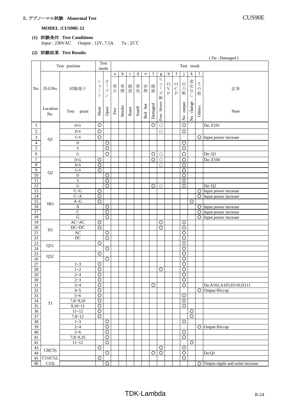### 5.アブノーマル試験 **Abnormal Test** CUS90E

**MODEL :CUS90E-12**

**(1)** 試験条件 **Test Conditions** Input : 230VAC Output : 12V, 7.5A Ta : 25℃

#### **(2)** 試験結果 **Test Results**

| (Da: Damaged) |
|---------------|
|---------------|

|                  |          |                                   |                     |                    |                       |       |             |             |              |         |                       |           |              |                    |                         |               | (Da: Damaged)                       |
|------------------|----------|-----------------------------------|---------------------|--------------------|-----------------------|-------|-------------|-------------|--------------|---------|-----------------------|-----------|--------------|--------------------|-------------------------|---------------|-------------------------------------|
|                  |          | Test position                     |                     | Test               |                       |       |             |             |              |         |                       |           |              | Test result        |                         |               |                                     |
|                  |          |                                   |                     | mode               |                       |       |             |             |              |         |                       |           |              |                    |                         |               |                                     |
|                  |          |                                   |                     |                    | a                     | b     | $\mathbf c$ | $\mathbf d$ | $\mathbf{e}$ | f       | $\mathbf{g}$          | h         | 1            |                    | $\mathbf k$             | 1             |                                     |
|                  |          |                                   | $\ddot{\checkmark}$ | 才                  |                       |       |             |             |              |         | ヒ                     |           |              |                    |                         |               |                                     |
|                  |          |                                   | $\Xi$               | $\frac{1}{2}$      | 発                     |       |             |             |              | 破       | $\mathfrak{\text{I}}$ | $\circ$   | $\circ$      | 出                  | 変化                      | z             |                                     |
| No.              | 部品No.    | 試験端子                              | $\frac{1}{2}$       | プ                  | 火                     | 発煙    | 破裂          | 異臭          | 赤熱           | 損       | $\mathbf{I}$          | $\bar{V}$ | $\mathbf C$  | 力断                 | $\vec{\mathcal{T}}$     | $\mathcal{O}$ | 記事                                  |
|                  |          |                                   | $\mathcal{F}$       | $\checkmark$       |                       |       |             |             |              |         | ズ                     | $\rm P$   | $\, {\bf P}$ |                    | l                       | 他             |                                     |
|                  |          |                                   |                     |                    |                       |       |             |             |              |         | 断                     |           |              |                    |                         |               |                                     |
|                  |          |                                   |                     |                    |                       |       |             |             |              |         | blown                 |           |              |                    | change                  |               |                                     |
|                  | Location |                                   |                     |                    |                       | Smoke | Burst       | Smell       | Red hot      | Damaged |                       |           |              | output             |                         | Others        |                                     |
|                  | No.      | Test<br>point                     | Short               | Open               | $\operatorname{Fire}$ |       |             |             |              |         |                       |           |              |                    |                         |               | Note                                |
|                  |          |                                   |                     |                    |                       |       |             |             |              |         | Fuse                  |           |              | $\frac{6}{2}$      | $\mathring{\mathsf{z}}$ |               |                                     |
| 1                |          | $D-G$                             | $\circ$             |                    |                       |       |             |             |              | $\circ$ | $\circ$               |           |              | $\circ$            |                         |               | Da: Z101                            |
|                  |          |                                   |                     |                    |                       |       |             |             |              |         |                       |           |              |                    |                         |               |                                     |
| $\boldsymbol{2}$ |          | $D-S$                             | $\circ$             |                    |                       |       |             |             |              |         | $\circ$               |           |              | $\circ$            |                         |               |                                     |
| $\sqrt{3}$       | Q1       | $G-S$                             | $\circ$             |                    |                       |       |             |             |              |         |                       |           |              |                    |                         |               | $\bigcirc$ Input power increase     |
| $\overline{4}$   |          | $\mathbf D$                       |                     | O                  |                       |       |             |             |              |         |                       |           |              | $\circ$            |                         |               |                                     |
| $\overline{5}$   |          | $\mathbf S$                       |                     | $\circ$            |                       |       |             |             |              |         |                       |           |              | $\circ$            |                         |               |                                     |
| $\sqrt{6}$       |          | ${\bf G}$                         |                     | $\circ$            |                       |       |             |             |              | O       | $\circ$               |           |              | $\circ$            |                         |               | Da: Q1                              |
| $\tau$           |          | $\mathbf{D}\text{-}\mathbf{G}$    | O                   |                    |                       |       |             |             |              | O       | $\bigcirc$            |           |              | $\overline{\circ}$ |                         |               | Da: Z104                            |
| $\,8\,$          |          | $D-S$                             | $\overline{\circ}$  |                    |                       |       |             |             |              |         | $\bigcirc$            |           |              | $\overline{\circ}$ |                         |               |                                     |
| $\boldsymbol{9}$ |          | $G-S$                             | $\circ$             |                    |                       |       |             |             |              |         |                       |           |              | $\overline{O}$     |                         |               |                                     |
| $\overline{10}$  | Q2       |                                   |                     |                    |                       |       |             |             |              |         |                       |           |              |                    |                         |               |                                     |
|                  |          | D                                 |                     | O                  |                       |       |             |             |              |         |                       |           |              | $\overline{\circ}$ |                         |               |                                     |
| $11\,$           |          | ${\bf S}$                         |                     | $\overline{\circ}$ |                       |       |             |             |              |         |                       |           |              | $\bigcirc$         |                         |               |                                     |
| $\overline{12}$  |          | $\overline{G}$                    |                     | $\overline{\circ}$ |                       |       |             |             |              | $\circ$ | $\bigcirc$            |           |              | $\overline{\circ}$ |                         |               | Da: Q2                              |
| 13               |          | $C - G$                           | $\circ$             |                    |                       |       |             |             |              |         |                       |           |              |                    |                         |               | O Input power increase              |
| $14\,$           |          | $C~\sim A$                        | O                   |                    |                       |       |             |             |              |         |                       |           |              |                    |                         | $\circ$       | Input power increase                |
| $\overline{15}$  | SR1      | $\mathrm{A} \textrm{-}\mathrm{G}$ | O                   |                    |                       |       |             |             |              |         |                       |           |              |                    | $\circ$                 |               |                                     |
| 16               |          | $\boldsymbol{\mathsf{A}}$         |                     | O                  |                       |       |             |             |              |         |                       |           |              |                    |                         |               | O Input power increase              |
| $\overline{17}$  |          | $\overline{C}$                    |                     | $\overline{O}$     |                       |       |             |             |              |         |                       |           |              |                    |                         |               | O Input power increase              |
| 18               |          | $\overline{G}$                    |                     | $\overline{\circ}$ |                       |       |             |             |              |         |                       |           |              |                    |                         |               | $\overline{O}$ Input power increase |
| $\overline{19}$  |          | $\text{AC}\text{-}\text{AC}$      | O                   |                    |                       |       |             |             |              |         | O                     |           |              | O                  |                         |               |                                     |
| $\overline{20}$  | D1       | $DC\neg DC$                       | $\overline{\circ}$  |                    |                       |       |             |             |              |         | $\overline{\circ}$    |           |              | $\overline{O}$     |                         |               |                                     |
| $\overline{21}$  |          | AC                                |                     | $\circ$            |                       |       |             |             |              |         |                       |           |              | $\overline{\circ}$ |                         |               |                                     |
| $22\,$           |          | $\overline{DC}$                   |                     | ੋ                  |                       |       |             |             |              |         |                       |           |              | $\overline{O}$     |                         |               |                                     |
| 23               |          |                                   | O                   |                    |                       |       |             |             |              |         |                       |           |              | $\circ$            |                         |               |                                     |
| 24               | Q51      |                                   |                     | $\circ$            |                       |       |             |             |              |         |                       |           |              | $\circ$            |                         |               |                                     |
| $\overline{25}$  |          |                                   | O                   |                    |                       |       |             |             |              |         |                       |           |              | $\overline{O}$     |                         |               |                                     |
| 26               | Q52      |                                   |                     | $\overline{O}$     |                       |       |             |             |              |         |                       |           |              | $\overline{O}$     |                         |               |                                     |
| 27               |          | $1 - 3$                           | O                   |                    |                       |       |             |             |              |         |                       |           |              | $\circ$            |                         |               |                                     |
| 28               |          | $1 - 2$                           | $\circ$             |                    |                       |       |             |             |              |         | O                     |           |              | $\overline{O}$     |                         |               |                                     |
| 29               |          | $2 - 4$                           | $\overline{O}$      |                    |                       |       |             |             |              |         |                       |           |              | $\overline{O}$     |                         |               |                                     |
| $30\,$           |          | $2 - 3$                           | $\circ$             |                    |                       |       |             |             |              |         |                       |           |              | $\bigcirc$         |                         |               |                                     |
| $\overline{31}$  |          | $3 - 4$                           | $\overline{\circ}$  |                    |                       |       |             |             |              | $\circ$ |                       |           |              | $\overline{O}$     |                         |               | Da:A102,A103,D110,D111              |
| 32               |          | $4 - 5$                           | O                   |                    |                       |       |             |             |              |         |                       |           |              |                    |                         |               | O Output Hiccup                     |
| 33               |          | $5 - 6$                           | $\overline{O}$      |                    |                       |       |             |             |              |         |                       |           |              | $\bigcirc$         |                         |               |                                     |
| 34               |          | $7,8-9,10$                        | $\overline{\circ}$  |                    |                       |       |             |             |              |         |                       |           |              | $\overline{\circ}$ |                         |               |                                     |
| 35               | T1       |                                   |                     |                    |                       |       |             |             |              |         |                       |           |              |                    |                         |               |                                     |
|                  |          | $9,10-11$                         | $\overline{\circ}$  |                    |                       |       |             |             |              |         |                       |           |              | $\overline{\circ}$ |                         |               |                                     |
| 36               |          | $11 - 12$                         | $\bigcirc$          |                    |                       |       |             |             |              |         |                       |           |              |                    | $\circ$                 |               |                                     |
| 37               |          | 7,8~12                            | $\overline{O}$      |                    |                       |       |             |             |              |         |                       |           |              |                    | $\overline{\circ}$      |               |                                     |
| 38               |          | $1 - 3$                           |                     | $\circ$            |                       |       |             |             |              |         |                       |           |              | $\overline{O}$     |                         |               |                                     |
| 39               |          | $2 - 4$                           |                     | $\overline{\circ}$ |                       |       |             |             |              |         |                       |           |              |                    |                         |               | O Output Hiccup                     |
| 40               |          | $5 - 6$                           |                     | $\overline{\circ}$ |                       |       |             |             |              |         |                       |           |              | $\overline{O}$     |                         |               |                                     |
| $41\,$           |          | $7,8-9,10$                        |                     | $\overline{\circ}$ |                       |       |             |             |              |         |                       |           |              | $\overline{\circ}$ |                         |               |                                     |
| 42               |          | $11 - 12$                         |                     | $\overline{O}$     |                       |       |             |             |              |         |                       |           |              |                    | $\circ$                 |               |                                     |
| 43               | C8(C9)   |                                   | $\circ$             |                    |                       |       |             |             |              |         | $\circ$               |           |              | $\bigcirc$         |                         |               |                                     |
| 44               |          |                                   |                     | $\overline{O}$     |                       |       |             |             |              | $\circ$ | $\overline{\circ}$    |           |              | $\overline{O}$     |                         |               | Da:Q1                               |
| 45               | C51(C52, |                                   | $\overline{O}$      |                    |                       |       |             |             |              |         |                       |           |              | $\overline{\circ}$ |                         |               |                                     |
| 46               | C53)     |                                   |                     | $\overline{O}$     |                       |       |             |             |              |         |                       |           |              |                    |                         | $\circ$       | Output ripple and noise increase    |
|                  |          |                                   |                     |                    |                       |       |             |             |              |         |                       |           |              |                    |                         |               |                                     |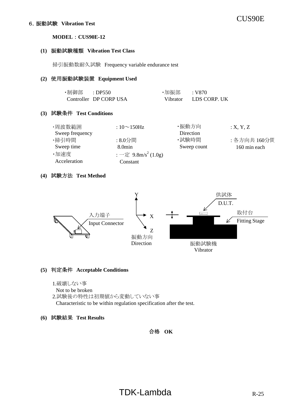#### **(1)** 振動試験種類 **Vibration Test Class**

掃引振動数耐久試験 Frequency variable endurance test

#### **(2)** 使用振動試験装置 **Equipment Used**

| ・制御部 | $\therefore$ DP550     | ・加振部 : V870 |              |
|------|------------------------|-------------|--------------|
|      | Controller DP CORP USA | Vibrator    | LDS CORP. UK |

#### **(3)** 試験条件 **Test Conditions**

| ・周波数範囲          | : $10 \sim 150$ Hz                                  | ・振動方向       | : X, Y, Z    |
|-----------------|-----------------------------------------------------|-------------|--------------|
| Sweep frequency |                                                     | Direction   |              |
| ・掃引時間           | :8.0分間                                              | ・試験時間       | : 各方向共 160分間 |
| Sweep time      | 8.0min                                              | Sweep count | 160 min each |
| ・加速度            | $:$ $ \bar{\mathcal{E}}$ 9.8m/s <sup>2</sup> (1.0g) |             |              |
| Acceleration    | Constant                                            |             |              |

#### **(4)** 試験方法 **Test Method**



#### **(5)** 判定条件 **Acceptable Conditions**

- 1.破壊しない事
- Not to be broken
- 2.試験後の特性は初期値から変動していない事

Characteristic to be within regulation specification after the test.

#### **(6)** 試験結果 **Test Results**

#### 合格 **OK**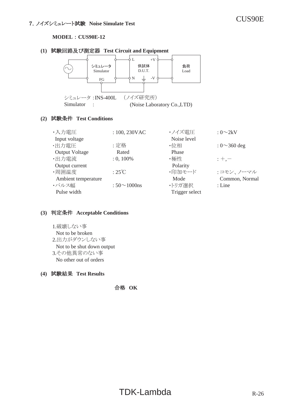**MODEL : CUS90E-12** 

#### **(1)** ヨ㦂ᅇ㊰ཬ䜃 ᐃჾ䚷**Test Circuit and Equipment**



#### **(2)** ヨ㦂᮲௳䚷**Test Conditions**

| ・入力電圧                 | : 100, 230VAC           | ・ノイズ電圧         | $: 0 \sim 2kV$     |
|-----------------------|-------------------------|----------------|--------------------|
| Input voltage         |                         | Noise level    |                    |
| ·出力電圧                 | :定格                     | ・位相            | : $0 \sim 360$ deg |
| <b>Output Voltage</b> | Rated                   | Phase          |                    |
| ·出力電流                 | $: 0, 100\%$            | ・極性            | $: +,-$            |
| Output current        |                         | Polarity       |                    |
| ·周囲温度                 | $:25^{\circ}\mathrm{C}$ | ・印加モード         | :コモン、ノーマル          |
| Ambient temperature   |                         | Mode           | Common, Normal     |
| ・パルス幅                 | : $50 \sim 1000$ ns     | ・トリガ選択         | $:$ Line           |
| Pulse width           |                         | Trigger select |                    |

#### **(3)** ุᐃ᮲௳䚷**Acceptable Conditions**

1.破壊しない事 Not to be broken 2.出力がダウンしない事 Not to be shut down output 3.その他異常のない事 No other out of orders

#### **(4)** ヨ㦂⤖ᯝ䚷**Test Results**

ྜ᱁䚷**OK**